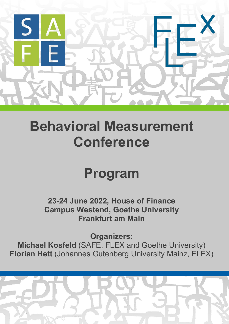

## **Behavioral Measurement Conference**

# **Program**

**23-24 June 2022, House of Finance Campus Westend, Goethe University Frankfurt am Main**

**Organizers:**

**Michael Kosfeld** (SAFE, FLEX and Goethe University) **Florian Hett** (Johannes Gutenberg University Mainz, FLEX)

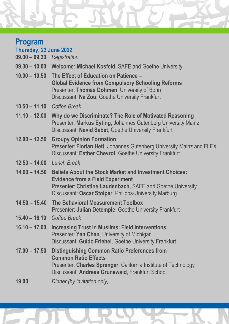## **Program**

| Thursday, 23 June 2022<br>09.00 - 09.30 Registration |                                                                                                                                                                                                                                   |
|------------------------------------------------------|-----------------------------------------------------------------------------------------------------------------------------------------------------------------------------------------------------------------------------------|
|                                                      | 09.30 - 10.00 Welcome: Michael Kosfeld, SAFE and Goethe University                                                                                                                                                                |
| $10.00 - 10.50$                                      | The Effect of Education on Patience -<br><b>Global Evidence from Compulsory Schooling Reforms</b><br>Presenter: Thomas Dohmen, University of Bonn<br>Discussant: Na Zou, Goethe University Frankfurt                              |
|                                                      | 10.50 - 11.10 Coffee Break                                                                                                                                                                                                        |
| $11.10 - 12.00$                                      | Why do we Discriminate? The Role of Motivated Reasoning<br>Presenter: Markus Eyting, Johannes Gutenberg University Mainz<br>Discussant: Navid Sabet, Goethe University Frankfurt                                                  |
| $12.00 - 12.50$                                      | <b>Groupy Opinion Formation</b><br>Presenter: Florian Hett, Johannes Gutenberg University Mainz and FLEX<br>Discussant: Esther Chevrot, Goethe University Frankfurt                                                               |
| $12.50 - 14.00$                                      | <b>Lunch Break</b>                                                                                                                                                                                                                |
| $14.00 - 14.50$                                      | <b>Beliefs About the Stock Market and Investment Choices:</b><br><b>Evidence from a Field Experiment</b><br>Presenter: Christine Laudenbach, SAFE and Goethe University<br>Discussant: Oscar Stolper, Philipps-University Marburg |
| $14.50 - 15.40$                                      | The Behavioral Measurement Toolbox<br>Presenter: Julian Detemple, Goethe University Frankfurt                                                                                                                                     |
|                                                      | 15.40 - 16.10 Coffee Break                                                                                                                                                                                                        |
| $16.10 - 17.00$                                      | <b>Increasing Trust in Muslims: Field Interventions</b><br>Presenter: Yan Chen, University of Michigan<br>Discussant: Guido Friebel, Goethe University Frankfurt                                                                  |
| $17.00 - 17.50$                                      | <b>Distinguishing Common Ratio Preferences from</b><br><b>Common Ratio Effects</b><br>Presenter: Charles Sprenger, California Institute of Technology<br>Discussant: Andreas Grunewald, Frankfurt School                          |

**19.00** *Dinner (by invitation only)*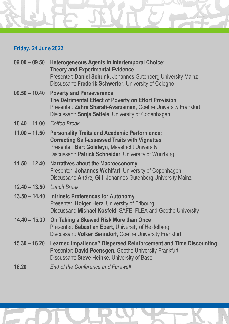### **Friday, 24 June 2022**

| $09.00 - 09.50$ | <b>Heterogeneous Agents in Intertemporal Choice:</b><br><b>Theory and Experimental Evidence</b><br>Presenter: Daniel Schunk, Johannes Gutenberg University Mainz<br>Discussant: Frederik Schwerter, University of Cologne |
|-----------------|---------------------------------------------------------------------------------------------------------------------------------------------------------------------------------------------------------------------------|
| $09.50 - 10.40$ | <b>Poverty and Perseverance:</b><br>The Detrimental Effect of Poverty on Effort Provision<br>Presenter: Zahra Sharafi-Avarzaman, Goethe University Frankfurt<br>Discussant: Sonja Settele, University of Copenhagen       |
| $10.40 - 11.00$ | Coffee Break                                                                                                                                                                                                              |
| $11.00 - 11.50$ | <b>Personality Traits and Academic Performance:</b><br><b>Correcting Self-assessed Traits with Vignettes</b><br>Presenter: Bart Golsteyn, Maastricht University<br>Discussant: Patrick Schneider, University of Würzburg  |
| $11.50 - 12.40$ | <b>Narratives about the Macroeconomy</b><br>Presenter: Johannes Wohlfart, University of Copenhagen<br>Discussant: Andrej Gill, Johannes Gutenberg University Mainz                                                        |
| $12.40 - 13.50$ | <b>Lunch Break</b>                                                                                                                                                                                                        |
| $13.50 - 14.40$ | <b>Intrinsic Preferences for Autonomy</b><br>Presenter: Holger Herz, University of Fribourg<br>Discussant: Michael Kosfeld, SAFE, FLEX and Goethe University                                                              |
| $14.40 - 15.30$ | On Taking a Skewed Risk More than Once<br>Presenter: Sebastian Ebert, University of Heidelberg<br>Discussant: Volker Benndorf, Goethe University Frankfurt                                                                |
| $15.30 - 16.20$ | <b>Learned Impatience? Dispersed Reinforcement and Time Discounting</b><br>Presenter: David Poensgen, Goethe University Frankfurt<br>Discussant: Steve Heinke, University of Basel                                        |
| 16.20           | <b>End of the Conference and Farewell</b>                                                                                                                                                                                 |